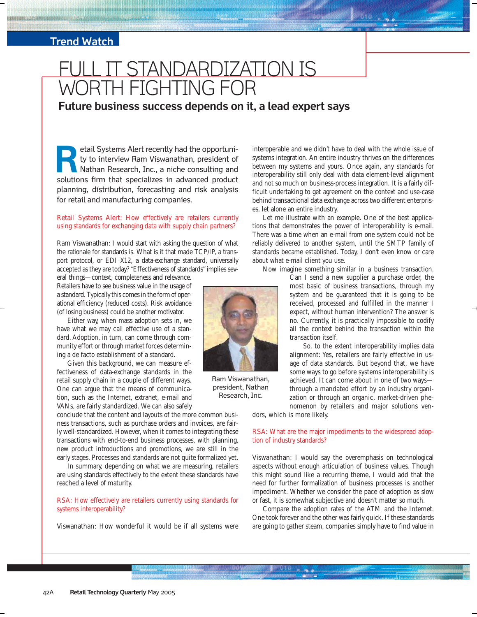### **Trend Watch**

# IT STANDARDIZATION IS WORTH FIGHTING FOR

**Future business success depends on it, a lead expert says**

etail Systems Alert recently had the opportunity to interview Ram Viswanathan, president of Nathan Research, Inc., a niche consulting and stail Systems Alert recently had the opportunity to interview Ram Viswanathan, president of Nathan Research, Inc., a niche consulting and solutions firm that specializes in advanced product planning, distribution, forecasting and risk analysis for retail and manufacturing companies.

#### Retail Systems Alert: How effectively are retailers currently using standards for exchanging data with supply chain partners?

Ram Viswanathan: I would start with asking the question of what the rationale for standards is. What is it that made TCP/IP, a transport protocol, or EDI X12, a data-exchange standard, universally accepted as they are today? "Effectiveness of standards" implies several things—context, completeness and relevance.

Retailers have to see business value in the usage of a standard. Typically this comes in the form of operational efficiency (reduced costs). Risk avoidance (of losing business) could be another motivator.

Either way, when mass adoption sets in, we have what we may call effective use of a standard. Adoption, in turn, can come through community effort or through market forces determining a de facto establishment of a standard.

Given this background, we can measure effectiveness of data-exchange standards in the retail supply chain in a couple of different ways. One can argue that the means of communication, such as the Internet, extranet, e-mail and VANs, are fairly standardized. We can also safely

conclude that the content and layouts of the more common business transactions, such as purchase orders and invoices, are fairly well-standardized. However, when it comes to integrating these transactions with end-to-end business processes, with planning, new product introductions and promotions, we are still in the early stages. Processes and standards are not quite formalized yet.

In summary, depending on what we are measuring, retailers are using standards effectively to the extent these standards have reached a level of maturity.

#### RSA: How effectively are retailers currently using standards for systems interoperability?

Viswanathan: How wonderful it would be if all systems were



Ram Viswanathan, president, Nathan Research, Inc.

interoperable and we didn't have to deal with the whole issue of systems integration. An entire industry thrives on the differences between my systems and yours. Once again, any standards for interoperability still only deal with data element-level alignment and not so much on business-process integration. It is a fairly difficult undertaking to get agreement on the context and use-case behind transactional data exchange across two different enterprises, let alone an entire industry.

Let me illustrate with an example. One of the best applications that demonstrates the power of interoperability is e-mail. There was a time when an e-mail from one system could not be reliably delivered to another system, until the SMTP family of standards became established. Today, I don't even know or care about what e-mail client you use.

Now imagine something similar in a business transaction.

Can I send a new supplier a purchase order, the most basic of business transactions, through my system and be guaranteed that it is going to be received, processed and fulfilled in the manner I expect, without human intervention? The answer is no. Currently, it is practically impossible to codify all the context behind the transaction within the transaction itself.

So, to the extent interoperability implies data alignment: Yes, retailers are fairly effective in usage of data standards. But beyond that, we have some ways to go before systems interoperability is achieved. It can come about in one of two ways through a mandated effort by an industry organization or through an organic, market-driven phenomenon by retailers and major solutions ven-

dors, which is more likely.

#### RSA: What are the major impediments to the widespread adoption of industry standards?

Viswanathan: I would say the overemphasis on technological aspects without enough articulation of business values. Though this might sound like a recurring theme, I would add that the need for further formalization of business processes is another impediment. Whether we consider the pace of adoption as slow or fast, it is somewhat subjective and doesn't matter so much.

Compare the adoption rates of the ATM and the Internet. One took forever and the other was fairly quick. If these standards are going to gather steam, companies simply have to find value in